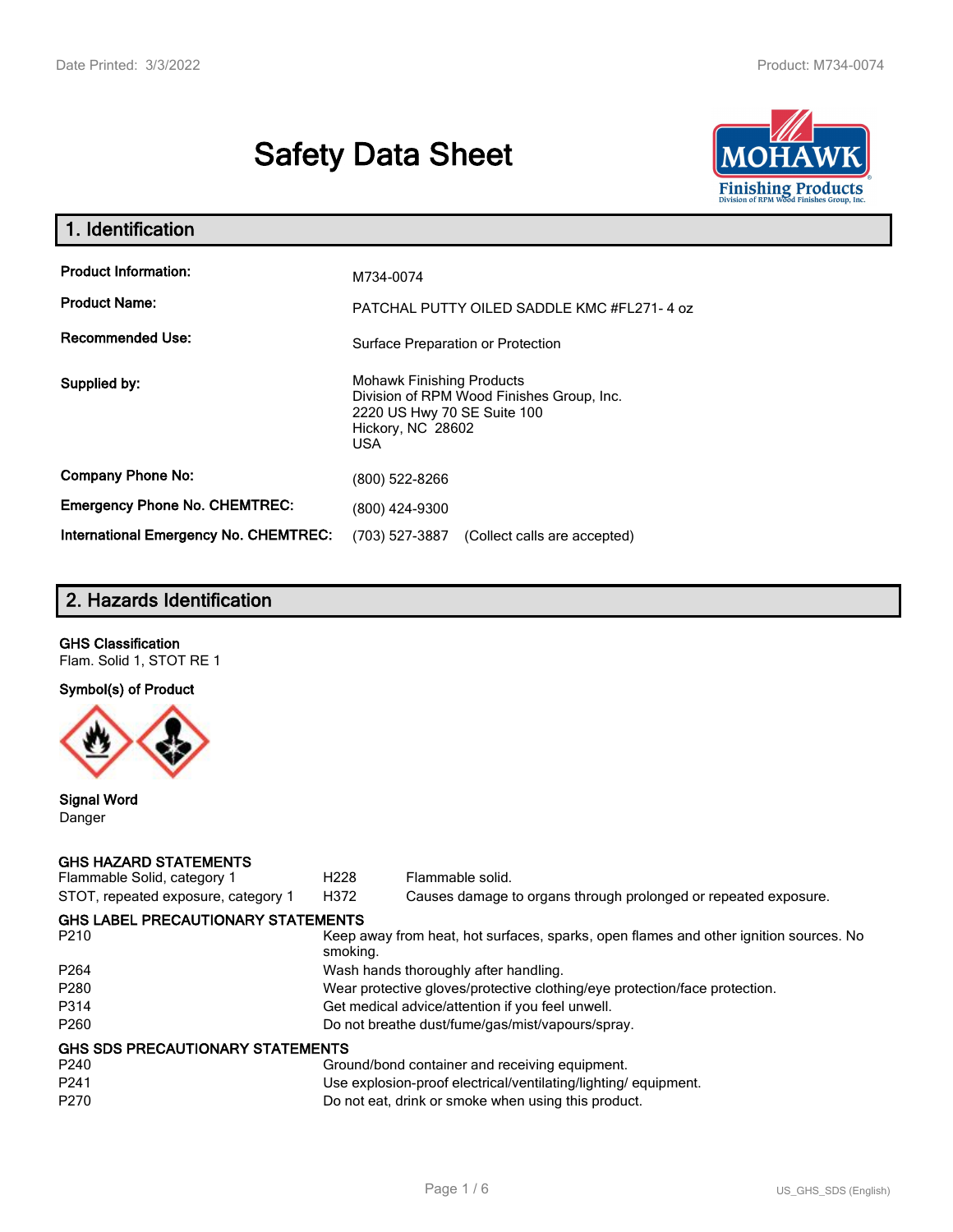# **Safety Data Sheet**



| 1. Identification                                   |                                                                                                                                          |
|-----------------------------------------------------|------------------------------------------------------------------------------------------------------------------------------------------|
| <b>Product Information:</b><br><b>Product Name:</b> | M734-0074<br>PATCHAL PUTTY OILED SADDLE KMC #FL271-4 oz                                                                                  |
| <b>Recommended Use:</b>                             | Surface Preparation or Protection                                                                                                        |
| Supplied by:                                        | <b>Mohawk Finishing Products</b><br>Division of RPM Wood Finishes Group, Inc.<br>2220 US Hwy 70 SE Suite 100<br>Hickory, NC 28602<br>USA |
| <b>Company Phone No:</b>                            | (800) 522-8266                                                                                                                           |
| <b>Emergency Phone No. CHEMTREC:</b>                | (800) 424-9300                                                                                                                           |
| International Emergency No. CHEMTREC:               | (703) 527-3887<br>(Collect calls are accepted)                                                                                           |

# **2. Hazards Identification**

# **GHS Classification**

Flam. Solid 1, STOT RE 1

# **Symbol(s) of Product**



#### **Signal Word** Danger

#### **GHS HAZARD STATEMENTS**

| Flammable Solid, category 1               | H <sub>228</sub> | Flammable solid.                                                                      |
|-------------------------------------------|------------------|---------------------------------------------------------------------------------------|
| STOT, repeated exposure, category 1       | H372             | Causes damage to organs through prolonged or repeated exposure.                       |
| <b>GHS LABEL PRECAUTIONARY STATEMENTS</b> |                  |                                                                                       |
| P <sub>210</sub>                          | smoking.         | Keep away from heat, hot surfaces, sparks, open flames and other ignition sources. No |
| P <sub>264</sub>                          |                  | Wash hands thoroughly after handling.                                                 |
| P <sub>280</sub>                          |                  | Wear protective gloves/protective clothing/eye protection/face protection.            |
| P314                                      |                  | Get medical advice/attention if you feel unwell.                                      |
| P <sub>260</sub>                          |                  | Do not breathe dust/fume/gas/mist/vapours/spray.                                      |
| <b>GHS SDS PRECAUTIONARY STATEMENTS</b>   |                  |                                                                                       |
| P <sub>240</sub>                          |                  | Ground/bond container and receiving equipment.                                        |
| P <sub>241</sub>                          |                  | Use explosion-proof electrical/ventilating/lighting/equipment.                        |
| P <sub>270</sub>                          |                  | Do not eat, drink or smoke when using this product.                                   |
|                                           |                  |                                                                                       |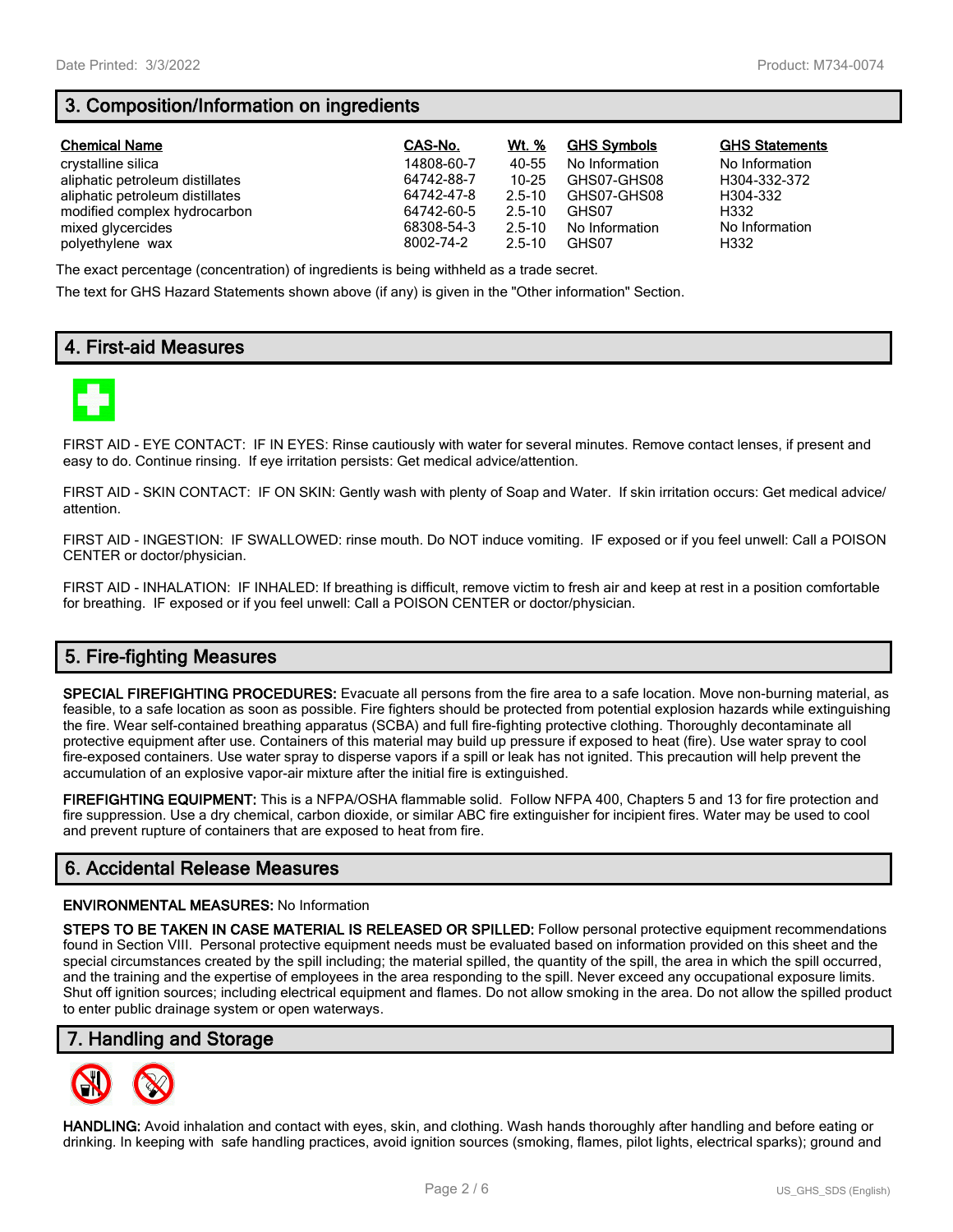# **3. Composition/Information on ingredients**

| <b>Chemical Name</b>            | CAS-No.    | Wt. %      | <b>GHS Symbols</b> | <b>GHS Statements</b> |
|---------------------------------|------------|------------|--------------------|-----------------------|
| crystalline silica              | 14808-60-7 | 40-55      | No Information     | No Information        |
| aliphatic petroleum distillates | 64742-88-7 | $10 - 25$  | GHS07-GHS08        | H304-332-372          |
| aliphatic petroleum distillates | 64742-47-8 | $2.5 - 10$ | GHS07-GHS08        | H304-332              |
| modified complex hydrocarbon    | 64742-60-5 | $2.5 - 10$ | GHS07              | H332                  |
| mixed glycercides               | 68308-54-3 | $2.5 - 10$ | No Information     | No Information        |
| polyethylene wax                | 8002-74-2  | $2.5 - 10$ | GHS07              | H332                  |

The exact percentage (concentration) of ingredients is being withheld as a trade secret.

The text for GHS Hazard Statements shown above (if any) is given in the "Other information" Section.

# **4. First-aid Measures**



FIRST AID - EYE CONTACT: IF IN EYES: Rinse cautiously with water for several minutes. Remove contact lenses, if present and easy to do. Continue rinsing. If eye irritation persists: Get medical advice/attention.

FIRST AID - SKIN CONTACT: IF ON SKIN: Gently wash with plenty of Soap and Water. If skin irritation occurs: Get medical advice/ attention.

FIRST AID - INGESTION: IF SWALLOWED: rinse mouth. Do NOT induce vomiting. IF exposed or if you feel unwell: Call a POISON CENTER or doctor/physician.

FIRST AID - INHALATION: IF INHALED: If breathing is difficult, remove victim to fresh air and keep at rest in a position comfortable for breathing. IF exposed or if you feel unwell: Call a POISON CENTER or doctor/physician.

# **5. Fire-fighting Measures**

**SPECIAL FIREFIGHTING PROCEDURES:** Evacuate all persons from the fire area to a safe location. Move non-burning material, as feasible, to a safe location as soon as possible. Fire fighters should be protected from potential explosion hazards while extinguishing the fire. Wear self-contained breathing apparatus (SCBA) and full fire-fighting protective clothing. Thoroughly decontaminate all protective equipment after use. Containers of this material may build up pressure if exposed to heat (fire). Use water spray to cool fire-exposed containers. Use water spray to disperse vapors if a spill or leak has not ignited. This precaution will help prevent the accumulation of an explosive vapor-air mixture after the initial fire is extinguished.

**FIREFIGHTING EQUIPMENT:** This is a NFPA/OSHA flammable solid. Follow NFPA 400, Chapters 5 and 13 for fire protection and fire suppression. Use a dry chemical, carbon dioxide, or similar ABC fire extinguisher for incipient fires. Water may be used to cool and prevent rupture of containers that are exposed to heat from fire.

## **6. Accidental Release Measures**

#### **ENVIRONMENTAL MEASURES:** No Information

**STEPS TO BE TAKEN IN CASE MATERIAL IS RELEASED OR SPILLED:** Follow personal protective equipment recommendations found in Section VIII. Personal protective equipment needs must be evaluated based on information provided on this sheet and the special circumstances created by the spill including; the material spilled, the quantity of the spill, the area in which the spill occurred, and the training and the expertise of employees in the area responding to the spill. Never exceed any occupational exposure limits. Shut off ignition sources; including electrical equipment and flames. Do not allow smoking in the area. Do not allow the spilled product to enter public drainage system or open waterways.

## **7. Handling and Storage**



**HANDLING:** Avoid inhalation and contact with eyes, skin, and clothing. Wash hands thoroughly after handling and before eating or drinking. In keeping with safe handling practices, avoid ignition sources (smoking, flames, pilot lights, electrical sparks); ground and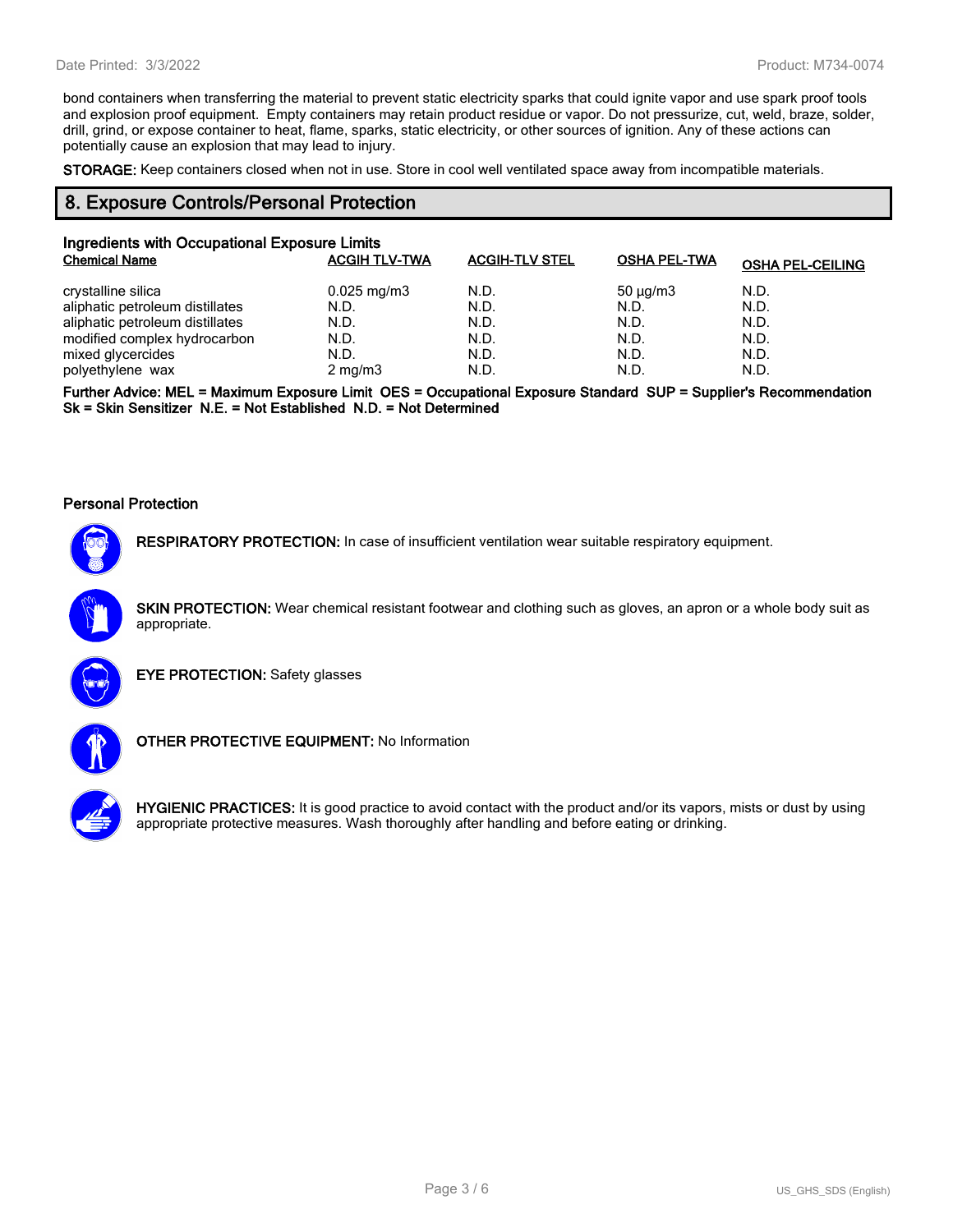bond containers when transferring the material to prevent static electricity sparks that could ignite vapor and use spark proof tools and explosion proof equipment. Empty containers may retain product residue or vapor. Do not pressurize, cut, weld, braze, solder, drill, grind, or expose container to heat, flame, sparks, static electricity, or other sources of ignition. Any of these actions can potentially cause an explosion that may lead to injury.

**STORAGE:** Keep containers closed when not in use. Store in cool well ventilated space away from incompatible materials.

## **8. Exposure Controls/Personal Protection**

| Ingredients with Occupational Exposure Limits |                         |                       |                     |                         |  |
|-----------------------------------------------|-------------------------|-----------------------|---------------------|-------------------------|--|
| <b>Chemical Name</b>                          | <b>ACGIH TLV-TWA</b>    | <b>ACGIH-TLV STEL</b> | <b>OSHA PEL-TWA</b> | <b>OSHA PEL-CEILING</b> |  |
| crystalline silica                            | $0.025 \,\mathrm{mg/m}$ | N.D.                  | $50 \mu q/m3$       | N.D.                    |  |
| aliphatic petroleum distillates               | N.D.                    | N.D.                  | N.D.                | N.D.                    |  |
| aliphatic petroleum distillates               | N.D.                    | N.D.                  | N.D.                | N.D.                    |  |
| modified complex hydrocarbon                  | N.D.                    | N.D.                  | N.D.                | N.D.                    |  |
| mixed glycercides                             | N.D.                    | N.D.                  | N.D.                | N.D.                    |  |
| polyethylene wax                              | $2$ mg/m $3$            | N.D.                  | N.D.                | N.D.                    |  |

**Further Advice: MEL = Maximum Exposure Limit OES = Occupational Exposure Standard SUP = Supplier's Recommendation Sk = Skin Sensitizer N.E. = Not Established N.D. = Not Determined**

#### **Personal Protection**



**RESPIRATORY PROTECTION:** In case of insufficient ventilation wear suitable respiratory equipment.

**SKIN PROTECTION:** Wear chemical resistant footwear and clothing such as gloves, an apron or a whole body suit as appropriate.



**EYE PROTECTION:** Safety glasses



**OTHER PROTECTIVE EQUIPMENT:** No Information



**HYGIENIC PRACTICES:** It is good practice to avoid contact with the product and/or its vapors, mists or dust by using appropriate protective measures. Wash thoroughly after handling and before eating or drinking.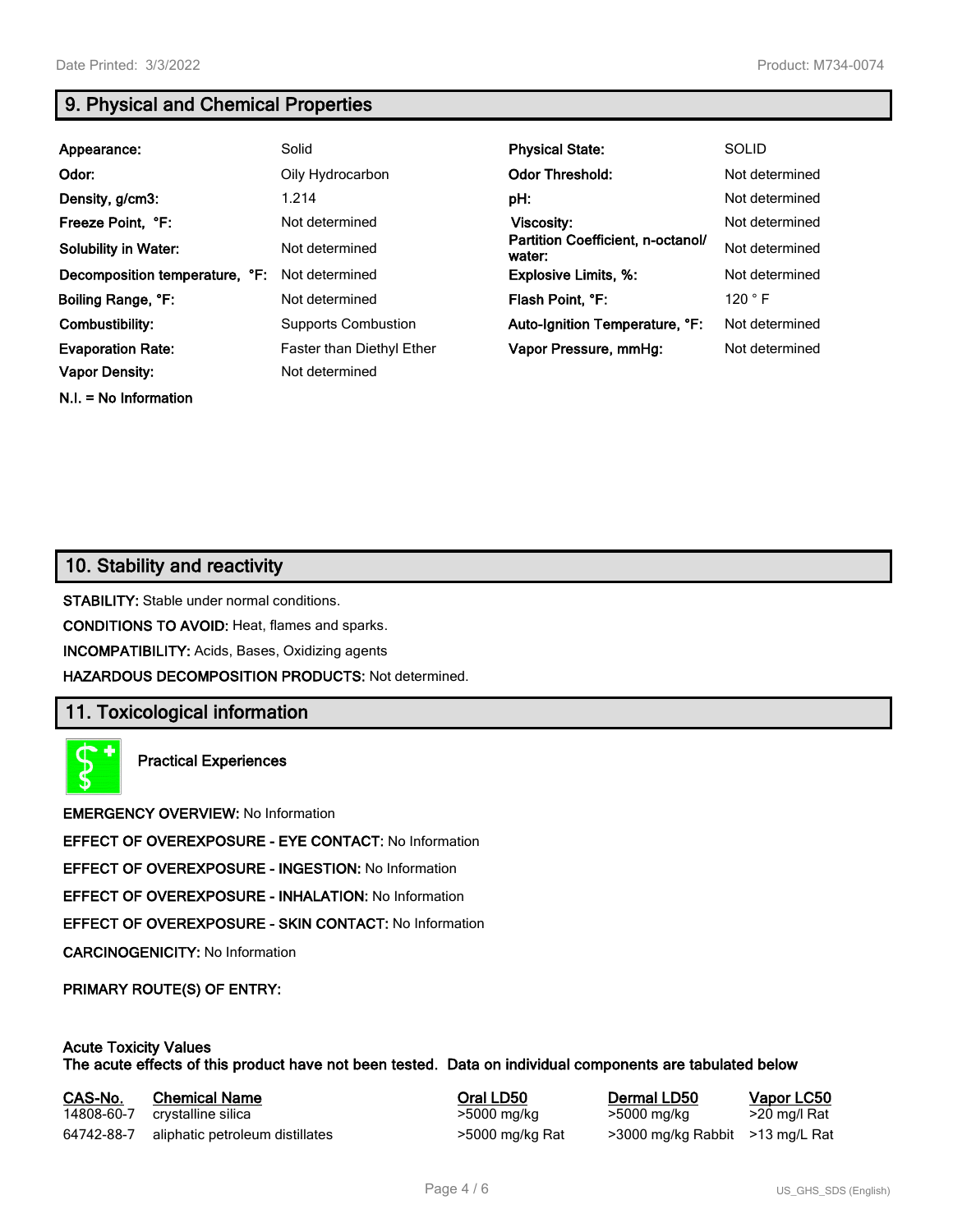**N.I. = No Information**

# **9. Physical and Chemical Properties**

| Appearance:                    | Solid                            | <b>Physical State:</b>                      | <b>SOLID</b>   |
|--------------------------------|----------------------------------|---------------------------------------------|----------------|
| Odor:                          | Oily Hydrocarbon                 | <b>Odor Threshold:</b>                      | Not determined |
| Density, g/cm3:                | 1.214                            | pH:                                         | Not determined |
| Freeze Point, °F:              | Not determined                   | Viscosity:                                  | Not determined |
| <b>Solubility in Water:</b>    | Not determined                   | Partition Coefficient, n-octanol/<br>water: | Not determined |
| Decomposition temperature, °F: | Not determined                   | <b>Explosive Limits, %:</b>                 | Not determined |
| Boiling Range, °F:             | Not determined                   | Flash Point, °F:                            | 120 °F         |
| Combustibility:                | <b>Supports Combustion</b>       | Auto-Ignition Temperature, °F:              | Not determined |
| <b>Evaporation Rate:</b>       | <b>Faster than Diethyl Ether</b> | Vapor Pressure, mmHg:                       | Not determined |
| <b>Vapor Density:</b>          | Not determined                   |                                             |                |

# **10. Stability and reactivity**

**STABILITY:** Stable under normal conditions.

**CONDITIONS TO AVOID:** Heat, flames and sparks.

**INCOMPATIBILITY:** Acids, Bases, Oxidizing agents

**HAZARDOUS DECOMPOSITION PRODUCTS:** Not determined.

## **11. Toxicological information**

**Practical Experiences**

**EMERGENCY OVERVIEW:** No Information

**EFFECT OF OVEREXPOSURE - EYE CONTACT:** No Information

**EFFECT OF OVEREXPOSURE - INGESTION:** No Information

**EFFECT OF OVEREXPOSURE - INHALATION:** No Information

**EFFECT OF OVEREXPOSURE - SKIN CONTACT:** No Information

**CARCINOGENICITY:** No Information

**PRIMARY ROUTE(S) OF ENTRY:**

#### **Acute Toxicity Values The acute effects of this product have not been tested. Data on individual components are tabulated below**

| CAS-No.    | <b>Chemical Name</b>            | Oral LD50       | Dermal LD50                     | Vapor LC50   |
|------------|---------------------------------|-----------------|---------------------------------|--------------|
| 14808-60-7 | crystalline silica              | >5000 mg/kg     | >5000 mg/kg                     | >20 mg/l Rat |
| 64742-88-7 | aliphatic petroleum distillates | >5000 mg/kg Rat | >3000 mg/kg Rabbit >13 mg/L Rat |              |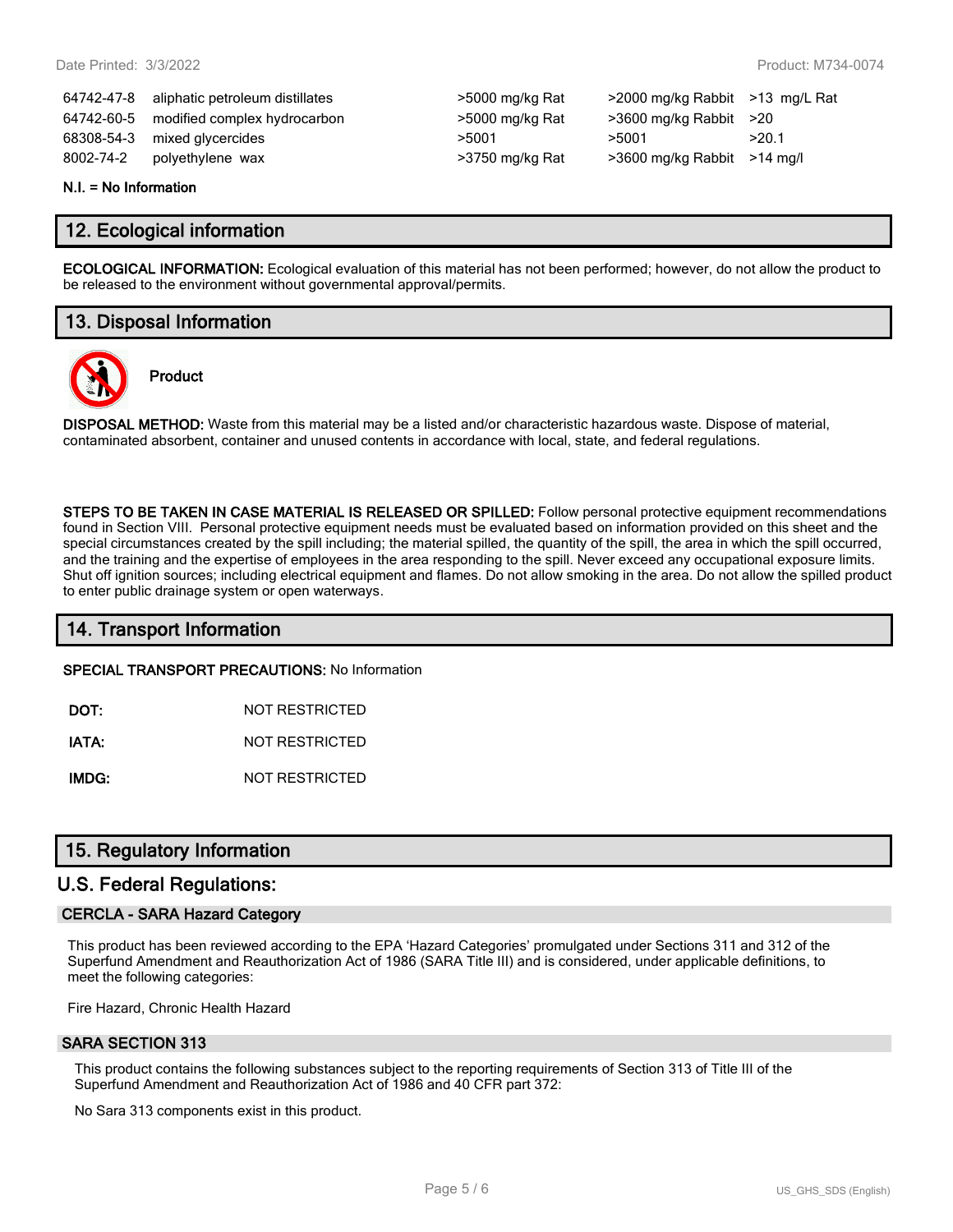64742-47-8 aliphatic petroleum distillates >5000 mg/kg Rat >2000 mg/kg Rabbit >13 mg/L Rat 64742-60-5 modified complex hydrocarbon >5000 mg/kg Rat >3600 mg/kg Rabbit >20 68308-54-3 mixed glycercides  $>5001$   $>5001$   $>5001$   $>20.1$ 8002-74-2 polyethylene wax  $\sim$  >3750 mg/kg Rat  $\sim$  >3600 mg/kg Rabbit >14 mg/l

| >5000 mg/kg Rat |
|-----------------|
| >5000 mg/kg Rat |
| >5001           |
| >3750 mg/kg Rat |

#### **N.I. = No Information**

## **12. Ecological information**

**ECOLOGICAL INFORMATION:** Ecological evaluation of this material has not been performed; however, do not allow the product to be released to the environment without governmental approval/permits.

# **13. Disposal Information**

**Product**



**DISPOSAL METHOD:** Waste from this material may be a listed and/or characteristic hazardous waste. Dispose of material, contaminated absorbent, container and unused contents in accordance with local, state, and federal regulations.

**STEPS TO BE TAKEN IN CASE MATERIAL IS RELEASED OR SPILLED:** Follow personal protective equipment recommendations found in Section VIII. Personal protective equipment needs must be evaluated based on information provided on this sheet and the special circumstances created by the spill including; the material spilled, the quantity of the spill, the area in which the spill occurred, and the training and the expertise of employees in the area responding to the spill. Never exceed any occupational exposure limits. Shut off ignition sources; including electrical equipment and flames. Do not allow smoking in the area. Do not allow the spilled product to enter public drainage system or open waterways.

## **14. Transport Information**

**SPECIAL TRANSPORT PRECAUTIONS:** No Information

**DOT:** NOT RESTRICTED

**IATA:** NOT RESTRICTED

**IMDG:** NOT RESTRICTED

## **15. Regulatory Information**

## **U.S. Federal Regulations:**

#### **CERCLA - SARA Hazard Category**

This product has been reviewed according to the EPA 'Hazard Categories' promulgated under Sections 311 and 312 of the Superfund Amendment and Reauthorization Act of 1986 (SARA Title III) and is considered, under applicable definitions, to meet the following categories:

Fire Hazard, Chronic Health Hazard

#### **SARA SECTION 313**

This product contains the following substances subject to the reporting requirements of Section 313 of Title III of the Superfund Amendment and Reauthorization Act of 1986 and 40 CFR part 372:

No Sara 313 components exist in this product.